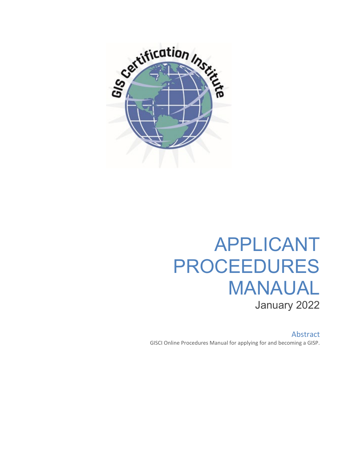

# APPLICANT PROCEEDURES MANAUAL January 2022

Abstract GISCI Online Procedures Manual for applying for and becoming a GISP.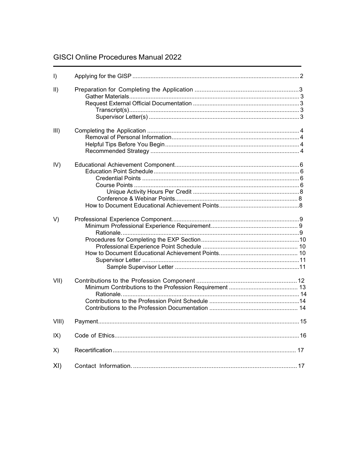# **GISCI Online Procedures Manual 2022**

| $\vert$ )     |  |
|---------------|--|
| $\vert \vert$ |  |
| III)          |  |
| IV)           |  |
| V)            |  |
| VII)          |  |
| $VIII$ )      |  |
| IX)           |  |
| X)            |  |
| XI)           |  |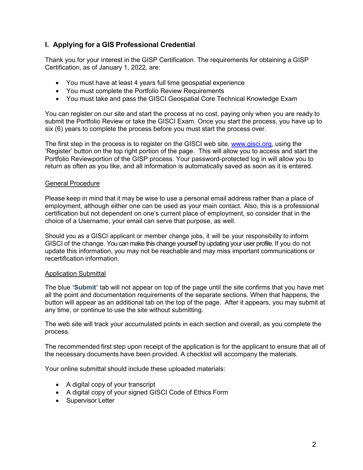# **I. Applying for a GIS Professional Credential**

Thank you for your interest in the GISP Certification. The requirements for obtaining a GISP Certification, as of January 1, 2022, are:

- You must have at least 4 years full time geospatial experience
- You must complete the Portfolio Review Requirements
- You must take and pass the GISCI Geospatial Core Technical Knowledge Exam

You can register on our site and start the process at no cost, paying only when you are ready to submit the Portfolio Review or take the GISCI Exam. Once you start the process, you have up to six (6) years to complete the process before you must start the process over.

The first step in the process is to register on the GISCI web site, [www.gisci.org, u](http://www.gisci.org/)sing the 'Register' button on the top right portion of the page. This will allow you to access and start the Portfolio Reviewportion of the GISP process. Your password-protected log in will allow you to return as often as you like, and all information is automatically saved as soon as it is entered.

#### General Procedure

Please keep in mind that it may be wise to use a personal email address rather than a place of employment, although either one can be used as your main contact. Also, this is a professional certification but not dependent on one's current place of employment, so consider that in the choice of a Username, your email can serve that purpose, as well.

Should you as a GISCI applicant or member change jobs, it will be your responsibility to inform GISCI of the change. You can make this change yourself by updating your user profile. If you do not update this information, you may not be reachable and may miss important communications or recertification information.

#### Application Submittal

The blue **'Submit'** tab will not appear on top of the page until the site confirms that you have met all the point and documentation requirements of the separate sections. When that happens, the button will appear as an additional tab on the top of the page. After it appears, you may submit at any time, or continue to use the site without submitting.

The web site will track your accumulated points in each section and overall, as you complete the process.

The recommended first step upon receipt of the application is for the applicant to ensure that all of the necessary documents have been provided. A checklist will accompany the materials.

Your online submittal should include these uploaded materials:

- A digital copy of your transcript
- A digital copy of your signed GISCI Code of Ethics Form
- Supervisor Letter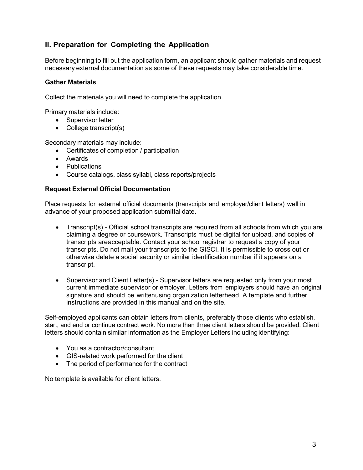# <span id="page-3-0"></span>**II. Preparation for Completing the Application**

Before beginning to fill out the application form, an applicant should gather materials and request necessary external documentation as some of these requests may take considerable time.

#### **Gather Materials**

Collect the materials you will need to complete the application.

Primary materials include:

- Supervisor letter
- College transcript(s)

Secondary materials may include:

- Certificates of completion / participation
- Awards
- Publications
- Course catalogs, class syllabi, class reports/projects

#### **Request External Official Documentation**

Place requests for external official documents (transcripts and employer/client letters) well in advance of your proposed application submittal date.

- Transcript(s) Official school transcripts are required from all schools from which you are claiming a degree or coursework. Transcripts must be digital for upload, and copies of transcripts areacceptable. Contact your school registrar to request a copy of your transcripts. Do not mail your transcripts to the GISCI. It is permissible to cross out or otherwise delete a social security or similar identification number if it appears on a transcript.
- Supervisor and Client Letter(s) Supervisor letters are requested only from your most current immediate supervisor or employer. Letters from employers should have an original signature and should be writtenusing organization letterhead. A template and further instructions are provided in this manual and on the site.

Self-employed applicants can obtain letters from clients, preferably those clients who establish, start, and end or continue contract work. No more than three client letters should be provided. Client letters should contain similar information as the Employer Letters including identifying:

- You as a contractor/consultant
- GIS-related work performed for the client
- The period of performance for the contract

No template is available for client letters.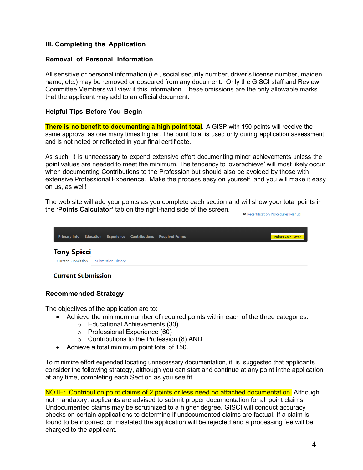# <span id="page-4-0"></span>**III. Completing the Application**

#### <span id="page-4-1"></span>**Removal of Personal Information**

All sensitive or personal information (i.e., social security number, driver's license number, maiden name, etc.) may be removed or obscured from any document. Only the GISCI staff and Review Committee Members will view it this information. These omissions are the only allowable marks that the applicant may add to an official document.

#### <span id="page-4-2"></span>**Helpful Tips Before You Begin**

**There is no benefit to documenting a high point total.** A GISP with 150 points will receive the same approval as one many times higher. The point total is used only during application assessment and is not noted or reflected in your final certificate.

As such, it is unnecessary to expend extensive effort documenting minor achievements unless the point values are needed to meet the minimum. The tendency to 'overachieve' will most likely occur when documenting Contributions to the Profession but should also be avoided by those with extensive Professional Experience. Make the process easy on yourself, and you will make it easy on us, as well!

The web site will add your points as you complete each section and will show your total points in the **'Points Calculator'** tab on the right-hand side of the screen. Recertification Procedures Manual

| <b>Primary Info</b>       | Education |                           | <b>Experience Contributions</b> | <b>Required Forms</b> |  | <b>Points Calculator</b> |  |
|---------------------------|-----------|---------------------------|---------------------------------|-----------------------|--|--------------------------|--|
| <b>Tony Spicci</b>        |           |                           |                                 |                       |  |                          |  |
| <b>Current Submission</b> |           | <b>Submission History</b> |                                 |                       |  |                          |  |
| <b>Current Submission</b> |           |                           |                                 |                       |  |                          |  |

# <span id="page-4-3"></span>**Recommended Strategy**

The objectives of the application are to:

- Achieve the minimum number of required points within each of the three categories:
	- o Educational Achievements (30)
	- o Professional Experience (60)
	- $\circ$  Contributions to the Profession (8) AND
- Achieve a total minimum point total of 150.

To minimize effort expended locating unnecessary documentation, it is suggested that applicants consider the following strategy, although you can start and continue at any point inthe application at any time, completing each Section as you see fit.

NOTE: Contribution point claims of 2 points or less need no attached documentation. Although not mandatory, applicants are advised to submit proper documentation for all point claims. Undocumented claims may be scrutinized to a higher degree. GISCI will conduct accuracy checks on certain applications to determine if undocumented claims are factual. If a claim is found to be incorrect or misstated the application will be rejected and a processing fee will be charged to the applicant.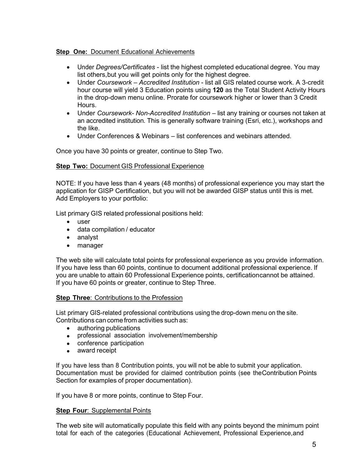### **Step One:** Document Educational Achievements

- Under *Degrees/Certificates* list the highest completed educational degree. You may list others,but you will get points only for the highest degree.
- Under *Coursework – Accredited Institution* list all GIS related course work. A 3-credit hour course will yield 3 Education points using **120** as the Total Student Activity Hours in the drop-down menu online. Prorate for coursework higher or lower than 3 Credit **Hours**
- Under *Coursework- Non-Accredited Institution* list any training or courses not taken at an accredited institution. This is generally software training (Esri, etc.), workshops and the like.
- Under Conferences & Webinars list conferences and webinars attended.

Once you have 30 points or greater, continue to Step Two.

#### **Step Two:** Document GIS Professional Experience

NOTE: If you have less than 4 years (48 months) of professional experience you may start the application for GISP Certification, but you will not be awarded GISP status until this is met. Add Employers to your portfolio:

List primary GIS related professional positions held:

- user
- data compilation / educator
- analyst
- manager

The web site will calculate total points for professional experience as you provide information. If you have less than 60 points, continue to document additional professional experience. If you are unable to attain 60 Professional Experience points, certificationcannot be attained. If you have 60 points or greater, continue to Step Three.

#### **Step Three**: Contributions to the Profession

List primary GIS-related professional contributions using the drop-down menu on the site. Contributions can come from activities such as:

- authoring publications
- professional association involvement/membership
- conference participation
- award receipt

If you have less than 8 Contribution points, you will not be able to submit your application. Documentation must be provided for claimed contribution points (see theContribution Points Section for examples of proper documentation).

If you have 8 or more points, continue to Step Four.

#### **Step Four: Supplemental Points**

The web site will automatically populate this field with any points beyond the minimum point total for each of the categories (Educational Achievement, Professional Experience,and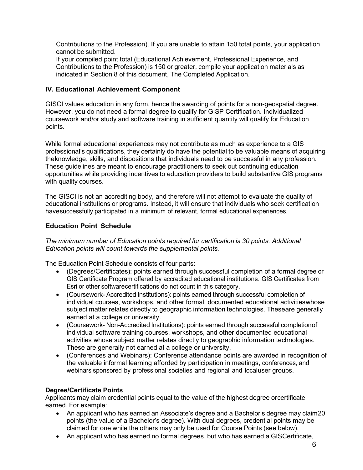Contributions to the Profession). If you are unable to attain 150 total points, your application cannot be submitted.

If your compiled point total (Educational Achievement, Professional Experience, and Contributions to the Profession) is 150 or greater, compile your application materials as indicated in Section 8 of this document, The Completed Application.

### <span id="page-6-0"></span>**IV. Educational Achievement Component**

GISCI values education in any form, hence the awarding of points for a non-geospatial degree. However, you do not need a formal degree to qualify for GISP Certification. Individualized coursework and/or study and software training in sufficient quantity will qualify for Education points.

While formal educational experiences may not contribute as much as experience to a GIS professional's qualifications, they certainly do have the potential to be valuable means of acquiring theknowledge, skills, and dispositions that individuals need to be successful in any profession. These guidelines are meant to encourage practitioners to seek out continuing education opportunities while providing incentives to education providers to build substantive GIS programs with quality courses.

The GISCI is not an accrediting body, and therefore will not attempt to evaluate the quality of educational institutions or programs. Instead, it will ensure that individuals who seek certification havesuccessfully participated in a minimum of relevant, formal educational experiences.

#### <span id="page-6-1"></span>**Education Point Schedule**

*The minimum number of Education points required for certification is 30 points. Additional Education points will count towards the supplemental points.*

The Education Point Schedule consists of four parts:

- (Degrees/Certificates): points earned through successful completion of a formal degree or GIS Certificate Program offered by accredited educational institutions. GIS Certificates from Esri or other softwarecertifications do not count in this category.
- (Coursework- Accredited Institutions): points earned through successful completion of individual courses, workshops, and other formal, documented educational activitieswhose subject matter relates directly to geographic information technologies. Theseare generally earned at a college or university.
- (Coursework- Non-Accredited Institutions): points earned through successful completionof individual software training courses, workshops, and other documented educational activities whose subject matter relates directly to geographic information technologies. These are generally not earned at a college or university.
- (Conferences and Webinars): Conference attendance points are awarded in recognition of the valuable informal learning afforded by participation in meetings, conferences, and webinars sponsored by professional societies and regional and localuser groups.

#### **Degree/Certificate Points**

Applicants may claim credential points equal to the value of the highest degree orcertificate earned. For example:

- An applicant who has earned an Associate's degree and a Bachelor's degree may claim20 points (the value of a Bachelor's degree). With dual degrees, credential points may be claimed for one while the others may only be used for Course Points (see below).
- An applicant who has earned no formal degrees, but who has earned a GISCertificate,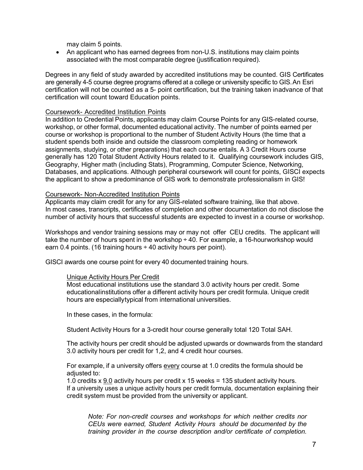may claim 5 points.

• An applicant who has earned degrees from non-U.S. institutions may claim points associated with the most comparable degree (justification required).

Degrees in any field of study awarded by accredited institutions may be counted. GIS Certificates are generally 4-5 course degree programs offered at a college or university specific to GIS. An Esri certification will not be counted as a 5- point certification, but the training taken inadvance of that certification will count toward Education points.

#### Coursework- Accredited Institution Points

In addition to Credential Points, applicants may claim Course Points for any GIS-related course, workshop, or other formal, documented educational activity. The number of points earned per course or workshop is proportional to the number of Student Activity Hours (the time that a student spends both inside and outside the classroom completing reading or homework assignments, studying, or other preparations) that each course entails. A 3 Credit Hours course generally has 120 Total Student Activity Hours related to it. Qualifying coursework includes GIS, Geography, Higher math (including Stats), Programming, Computer Science, Networking, Databases, and applications. Although peripheral coursework will count for points, GISCI expects the applicant to show a predominance of GIS work to demonstrate professionalism in GIS!

#### Coursework- Non-Accredited Institution Points

Applicants may claim credit for any for any GIS-related software training, like that above. In most cases, transcripts, certificates of completion and other documentation do not disclose the number of activity hours that successful students are expected to invest in a course or workshop.

Workshops and vendor training sessions may or may not offer CEU credits. The applicant will take the number of hours spent in the workshop  $\div$  40. For example, a 16-hourworkshop would earn 0.4 points. (16 training hours  $\div$  40 activity hours per point).

<span id="page-7-0"></span>GISCI awards one course point for every 40 documented training hours.

#### Unique Activity Hours Per Credit

Most educational institutions use the standard 3.0 activity hours per credit. Some educationalinstitutions offer a different activity hours per credit formula. Unique credit hours are especiallytypical from international universities.

In these cases, in the formula:

Student Activity Hours for a 3-credit hour course generally total 120 Total SAH.

The activity hours per credit should be adjusted upwards or downwards from the standard 3.0 activity hours per credit for 1,2, and 4 credit hour courses.

For example, if a university offers every course at 1.0 credits the formula should be adjusted to:

1.0 credits x 9.0 activity hours per credit x 15 weeks = 135 student activity hours. If a university uses a unique activity hours per credit formula, documentation explaining their credit system must be provided from the university or applicant.

*Note: For non-credit courses and workshops for which neither credits nor CEUs were earned, Student Activity Hours should be documented by the training provider in the course description and/or certificate of completion.*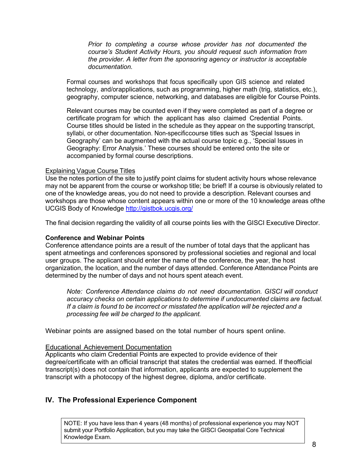*Prior to completing a course whose provider has not documented the course's Student Activity Hours, you should request such information from the provider. A letter from the sponsoring agency or instructor is acceptable documentation.*

Formal courses and workshops that focus specifically upon GIS science and related technology, and/orapplications, such as programming, higher math (trig, statistics, etc.), geography, computer science, networking, and databases are eligible for Course Points.

Relevant courses may be counted even if they were completed as part of a degree or certificate program for which the applicant has also claimed Credential Points. Course titles should be listed in the schedule as they appear on the supporting transcript, syllabi, or other documentation. Non-specificcourse titles such as 'Special Issues in Geography' can be augmented with the actual course topic e.g., 'Special Issues in Geography: Error Analysis.' These courses should be entered onto the site or accompanied by formal course descriptions.

#### Explaining Vague Course Titles

Use the notes portion of the site to justify point claims for student activity hours whose relevance may not be apparent from the course or workshop title; be brief! If a course is obviously related to one of the knowledge areas, you do not need to provide a description. Relevant courses and workshops are those whose content appears within one or more of the 10 knowledge areas ofthe UCGIS Body of Knowledge<http://gistbok.ucgis.org/>

The final decision regarding the validity of all course points lies with the GISCI Executive Director.

#### **Conference and Webinar Points**

Conference attendance points are a result of the number of total days that the applicant has spent atmeetings and conferences sponsored by professional societies and regional and local user groups. The applicant should enter the name of the conference, the year, the host organization, the location, and the number of days attended. Conference Attendance Points are determined by the number of days and not hours spent ateach event.

*Note: Conference Attendance claims do not need documentation. GISCI will conduct accuracy checks on certain applications to determine if undocumented claims are factual. If a claim is found to be incorrect or misstated the application will be rejected and a processing fee will be charged to the applicant.*

Webinar points are assigned based on the total number of hours spent online.

#### Educational Achievement Documentation

Applicants who claim Credential Points are expected to provide evidence of their degree/certificate with an official transcript that states the credential was earned. If theofficial transcript(s) does not contain that information, applicants are expected to supplement the transcript with a photocopy of the highest degree, diploma, and/or certificate.

# **IV. The Professional Experience Component**

NOTE: If you have less than 4 years (48 months) of professional experience you may NOT submit your Portfolio Application, but you may take the GISCI Geospatial Core Technical Knowledge Exam.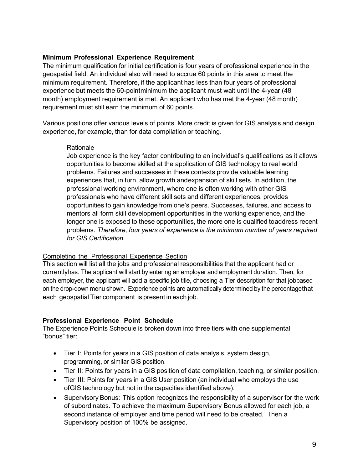# <span id="page-9-0"></span>**Minimum Professional Experience Requirement**

The minimum qualification for initial certification is four years of professional experience in the geospatial field. An individual also will need to accrue 60 points in this area to meet the minimum requirement. Therefore, if the applicant has less than four years of professional experience but meets the 60-pointminimum the applicant must wait until the 4-year (48 month) employment requirement is met. An applicant who has met the 4-year (48 month) requirement must still earn the minimum of 60 points.

Various positions offer various levels of points. More credit is given for GIS analysis and design experience, for example, than for data compilation or teaching.

#### Rationale

Job experience is the key factor contributing to an individual's qualifications as it allows opportunities to become skilled at the application of GIS technology to real world problems. Failures and successes in these contexts provide valuable learning experiences that, in turn, allow growth andexpansion of skill sets. In addition, the professional working environment, where one is often working with other GIS professionals who have different skill sets and different experiences, provides opportunities to gain knowledge from one's peers. Successes, failures, and access to mentors all form skill development opportunities in the working experience, and the longer one is exposed to these opportunities, the more one is qualified toaddress recent problems. *Therefore, four years of experience is the minimum number of years required for GIS Certification.*

#### Completing the Professional Experience Section

This section will list all the jobs and professional responsibilities that the applicant had or currentlyhas. The applicant will start by entering an employer and employment duration. Then, for each employer, the applicant will add a specific job title, choosing a Tier description for that jobbased on the drop-down menu shown. Experience points are automatically determined by the percentagethat each geospatial Tier component is present in each job.

# **Professional Experience Point Schedule**

The Experience Points Schedule is broken down into three tiers with one supplemental "bonus" tier:

- Tier I: Points for years in a GIS position of data analysis, system design, programming, or similar GIS position.
- Tier II: Points for years in a GIS position of data compilation, teaching, or similar position.
- Tier III: Points for years in a GIS User position (an individual who employs the use ofGIS technology but not in the capacities identified above).
- Supervisory Bonus: This option recognizes the responsibility of a supervisor for the work of subordinates. To achieve the maximum Supervisory Bonus allowed for each job, a second instance of employer and time period will need to be created. Then a Supervisory position of 100% be assigned.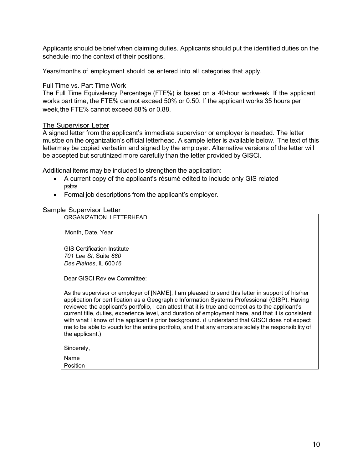Applicants should be brief when claiming duties. Applicants should put the identified duties on the schedule into the context of their positions.

Years/months of employment should be entered into all categories that apply.

#### Full Time vs. Part Time Work

The Full Time Equivalency Percentage (FTE%) is based on a 40-hour workweek. If the applicant works part time, the FTE% cannot exceed 50% or 0.50. If the applicant works 35 hours per week,the FTE% cannot exceed 88% or 0.88.

#### The Supervisor Letter

A signed letter from the applicant's immediate supervisor or employer is needed. The letter mustbe on the organization's official letterhead. A sample letter is available below. The text of this lettermay be copied verbatim and signed by the employer. Alternative versions of the letter will be accepted but scrutinized more carefully than the letter provided by GISCI.

Additional items may be included to strengthen the application:

- A current copy of the applicant's résumé edited to include only GIS related positons.
- Formal job descriptions from the applicant's employer.

#### Sample Supervisor Letter

ORGANIZATION LETTERHEAD

Month, Date, Year

GIS Certification Institute *701 Lee St,* Suite *680 Des Plaines*, IL 600*16*

Dear GISCI Review Committee:

As the supervisor or employer of [NAME], I am pleased to send this letter in support of his/her application for certification as a Geographic Information Systems Professional (GISP). Having reviewed the applicant's portfolio, I can attest that it is true and correct as to the applicant's current title, duties, experience level, and duration of employment here, and that it is consistent with what I know of the applicant's prior background. (I understand that GISCI does not expect me to be able to vouch for the entire portfolio, and that any errors are solely the responsibility of the applicant.)

Sincerely,

Name **Position**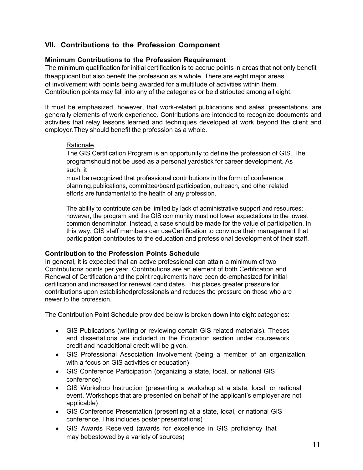# <span id="page-11-0"></span>**VII. Contributions to the Profession Component**

# **Minimum Contributions to the Profession Requirement**

The minimum qualification for initial certification is to accrue points in areas that not only benefit theapplicant but also benefit the profession as a whole. There are eight major areas of involvement with points being awarded for a multitude of activities within them. Contribution points may fall into any of the categories or be distributed among all eight.

It must be emphasized, however, that work-related publications and sales presentations are generally elements of work experience. Contributions are intended to recognize documents and activities that relay lessons learned and techniques developed at work beyond the client and employer.They should benefit the profession as a whole.

#### **Rationale**

The GIS Certification Program is an opportunity to define the profession of GIS. The programshould not be used as a personal yardstick for career development. As such, it

must be recognized that professional contributions in the form of conference planning,publications, committee/board participation, outreach, and other related efforts are fundamental to the health of any profession.

The ability to contribute can be limited by lack of administrative support and resources; however, the program and the GIS community must not lower expectations to the lowest common denominator. Instead, a case should be made for the value of participation. In this way, GIS staff members can useCertification to convince their management that participation contributes to the education and professional development of their staff.

#### **Contribution to the Profession Points Schedule**

In general, it is expected that an active professional can attain a minimum of two Contributions points per year. Contributions are an element of both Certification and Renewal of Certification and the point requirements have been de-emphasized for initial certification and increased for renewal candidates. This places greater pressure for contributions upon establishedprofessionals and reduces the pressure on those who are newer to the profession.

The Contribution Point Schedule provided below is broken down into eight categories:

- GIS Publications (writing or reviewing certain GIS related materials). Theses and dissertations are included in the Education section under coursework credit and noadditional credit will be given.
- GIS Professional Association Involvement (being a member of an organization with a focus on GIS activities or education)
- GIS Conference Participation (organizing a state, local, or national GIS conference)
- GIS Workshop Instruction (presenting a workshop at a state, local, or national event. Workshops that are presented on behalf of the applicant's employer are not applicable)
- GIS Conference Presentation (presenting at a state, local, or national GIS conference. This includes poster presentations)
- GIS Awards Received (awards for excellence in GIS proficiency that may bebestowed by a variety of sources)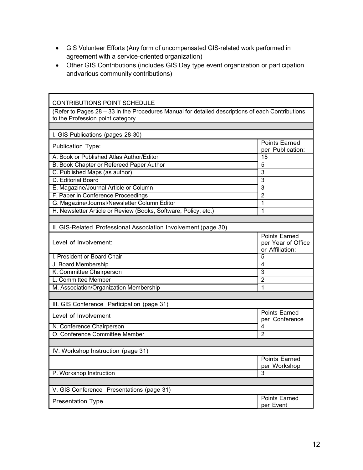- GIS Volunteer Efforts (Any form of uncompensated GIS-related work performed in agreement with a service-oriented organization)
- Other GIS Contributions (includes GIS Day type event organization or participation andvarious community contributions)

| <b>CONTRIBUTIONS POINT SCHEDULE</b>                                                                                                  |                                                               |  |  |  |  |
|--------------------------------------------------------------------------------------------------------------------------------------|---------------------------------------------------------------|--|--|--|--|
| (Refer to Pages 28 - 33 in the Procedures Manual for detailed descriptions of each Contributions<br>to the Profession point category |                                                               |  |  |  |  |
|                                                                                                                                      |                                                               |  |  |  |  |
| I. GIS Publications (pages 28-30)                                                                                                    |                                                               |  |  |  |  |
| <b>Publication Type:</b>                                                                                                             | <b>Points Earned</b><br>per Publication:                      |  |  |  |  |
| A. Book or Published Atlas Author/Editor                                                                                             | 15                                                            |  |  |  |  |
| B. Book Chapter or Refereed Paper Author                                                                                             | 5                                                             |  |  |  |  |
| C. Published Maps (as author)                                                                                                        | 3                                                             |  |  |  |  |
| D. Editorial Board                                                                                                                   | 3                                                             |  |  |  |  |
| E. Magazine/Journal Article or Column                                                                                                | 3                                                             |  |  |  |  |
| F. Paper in Conference Proceedings                                                                                                   | 2                                                             |  |  |  |  |
| G. Magazine/Journal/Newsletter Column Editor                                                                                         | 1                                                             |  |  |  |  |
| H. Newsletter Article or Review (Books, Software, Policy, etc.)                                                                      | 1                                                             |  |  |  |  |
|                                                                                                                                      |                                                               |  |  |  |  |
| II. GIS-Related Professional Association Involvement (page 30)                                                                       |                                                               |  |  |  |  |
| Level of Involvement:                                                                                                                | <b>Points Earned</b><br>per Year of Office<br>or Affiliation: |  |  |  |  |
| L President or Board Chair                                                                                                           | 5                                                             |  |  |  |  |
| J. Board Membership                                                                                                                  | 4                                                             |  |  |  |  |
| K. Committee Chairperson                                                                                                             | 3                                                             |  |  |  |  |
| L. Committee Member                                                                                                                  | 2                                                             |  |  |  |  |
| M. Association/Organization Membership                                                                                               | 1                                                             |  |  |  |  |
|                                                                                                                                      |                                                               |  |  |  |  |
| III. GIS Conference Participation (page 31)                                                                                          |                                                               |  |  |  |  |
| Level of Involvement                                                                                                                 | <b>Points Earned</b><br>per Conference                        |  |  |  |  |
| N. Conference Chairperson                                                                                                            | 4                                                             |  |  |  |  |
| O. Conference Committee Member                                                                                                       | $\overline{2}$                                                |  |  |  |  |
|                                                                                                                                      |                                                               |  |  |  |  |
| IV. Workshop Instruction (page 31)                                                                                                   |                                                               |  |  |  |  |
|                                                                                                                                      | <b>Points Earned</b><br>per Workshop                          |  |  |  |  |
| P. Workshop Instruction                                                                                                              | 3                                                             |  |  |  |  |
|                                                                                                                                      |                                                               |  |  |  |  |
| V. GIS Conference Presentations (page 31)                                                                                            |                                                               |  |  |  |  |
| <b>Presentation Type</b>                                                                                                             | Points Earned<br>per Event                                    |  |  |  |  |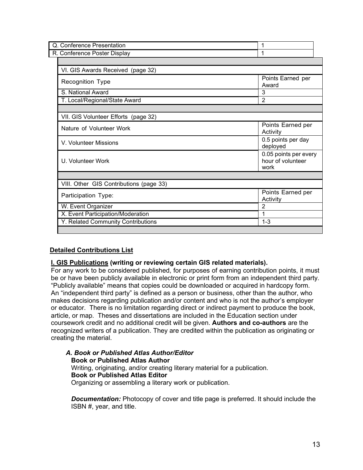| Q. Conference Presentation              | 1                                                  |  |  |  |  |
|-----------------------------------------|----------------------------------------------------|--|--|--|--|
| R. Conference Poster Display            | 1                                                  |  |  |  |  |
|                                         |                                                    |  |  |  |  |
| VI. GIS Awards Received (page 32)       |                                                    |  |  |  |  |
| Recognition Type                        | Points Earned per<br>Award                         |  |  |  |  |
| S. National Award                       | 3                                                  |  |  |  |  |
| T. Local/Regional/State Award           | $\overline{2}$                                     |  |  |  |  |
|                                         |                                                    |  |  |  |  |
| VII. GIS Volunteer Efforts (page 32)    |                                                    |  |  |  |  |
| Nature of Volunteer Work                | Points Earned per<br>Activity                      |  |  |  |  |
| V. Volunteer Missions                   | 0.5 points per day<br>deployed                     |  |  |  |  |
| U. Volunteer Work                       | 0.05 points per every<br>hour of volunteer<br>work |  |  |  |  |
|                                         |                                                    |  |  |  |  |
| VIII. Other GIS Contributions (page 33) |                                                    |  |  |  |  |
| Participation Type:                     | Points Earned per<br>Activity                      |  |  |  |  |
| W. Event Organizer                      | $\overline{2}$                                     |  |  |  |  |
| X. Event Participation/Moderation       | 1                                                  |  |  |  |  |
| Y. Related Community Contributions      | $1 - 3$                                            |  |  |  |  |
|                                         |                                                    |  |  |  |  |

# **Detailed Contributions List**

#### **I. GIS Publications (writing or reviewing certain GIS related materials).**

For any work to be considered published, for purposes of earning contribution points, it must be or have been publicly available in electronic or print form from an independent third party. "Publicly available" means that copies could be downloaded or acquired in hardcopy form. An "independent third party" is defined as a person or business, other than the author, who makes decisions regarding publication and/or content and who is not the author's employer or educator. There is no limitation regarding direct or indirect payment to produce the book, article, or map. Theses and dissertations are included in the Education section under coursework credit and no additional credit will be given. **Authors and co-authors** are the recognized writers of a publication. They are credited within the publication as originating or creating the material.

*A. Book or Published Atlas Author/Editor* **Book or Published Atlas Author** Writing, originating, and/or creating literary material for a publication. **Book or Published Atlas Editor** Organizing or assembling a literary work or publication.

**Documentation:** Photocopy of cover and title page is preferred. It should include the ISBN #, year, and title.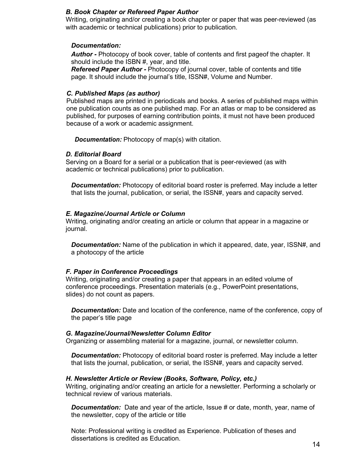#### *B. Book Chapter or Refereed Paper Author*

Writing, originating and/or creating a book chapter or paper that was peer-reviewed (as with academic or technical publications) prior to publication.

#### *Documentation:*

*Author -* Photocopy of book cover, table of contents and first pageof the chapter. It should include the ISBN #, year, and title.

*Refereed Paper Author -* Photocopy of journal cover, table of contents and title page. It should include the journal's title, ISSN#, Volume and Number.

#### *C. Published Maps (as author)*

Published maps are printed in periodicals and books. A series of published maps within one publication counts as one published map. For an atlas or map to be considered as published, for purposes of earning contribution points, it must not have been produced because of a work or academic assignment.

*Documentation:* Photocopy of map(s) with citation.

#### *D. Editorial Board*

Serving on a Board for a serial or a publication that is peer-reviewed (as with academic or technical publications) prior to publication.

*Documentation:* Photocopy of editorial board roster is preferred. May include a letter that lists the journal, publication, or serial, the ISSN#, years and capacity served.

#### *E. Magazine/Journal Article or Column*

Writing, originating and/or creating an article or column that appear in a magazine or journal.

*Documentation:* Name of the publication in which it appeared, date, year, ISSN#, and a photocopy of the article

#### *F. Paper in Conference Proceedings*

Writing, originating and/or creating a paper that appears in an edited volume of conference proceedings. Presentation materials (e.g., PowerPoint presentations, slides) do not count as papers.

*Documentation:* Date and location of the conference, name of the conference, copy of the paper's title page

#### *G. Magazine/Journal/Newsletter Column Editor*

Organizing or assembling material for a magazine, journal, or newsletter column.

*Documentation:* Photocopy of editorial board roster is preferred. May include a letter that lists the journal, publication, or serial, the ISSN#, years and capacity served.

#### *H. Newsletter Article or Review (Books, Software, Policy, etc.)*

Writing, originating and/or creating an article for a newsletter. Performing a scholarly or technical review of various materials.

*Documentation:* Date and year of the article, Issue # or date, month, year, name of the newsletter, copy of the article or title

Note: Professional writing is credited as Experience. Publication of theses and dissertations is credited as Education.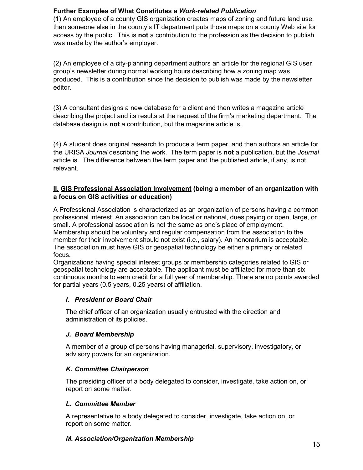# **Further Examples of What Constitutes a** *Work-related Publication*

(1) An employee of a county GIS organization creates maps of zoning and future land use, then someone else in the county's IT department puts those maps on a county Web site for access by the public. This is **not** a contribution to the profession as the decision to publish was made by the author's employer.

(2) An employee of a city-planning department authors an article for the regional GIS user group's newsletter during normal working hours describing how a zoning map was produced. This is a contribution since the decision to publish was made by the newsletter editor.

(3) A consultant designs a new database for a client and then writes a magazine article describing the project and its results at the request of the firm's marketing department. The database design is **not** a contribution, but the magazine article is.

(4) A student does original research to produce a term paper, and then authors an article for the URISA *Journal* describing the work. The term paper is **not** a publication, but the *Journal*  article is. The difference between the term paper and the published article, if any, is not relevant.

#### **II. GIS Professional Association Involvement (being a member of an organization with a focus on GIS activities or education)**

A Professional Association is characterized as an organization of persons having a common professional interest. An association can be local or national, dues paying or open, large, or small. A professional association is not the same as one's place of employment. Membership should be voluntary and regular compensation from the association to the member for their involvement should not exist (i.e., salary). An honorarium is acceptable. The association must have GIS or geospatial technology be either a primary or related focus.

Organizations having special interest groups or membership categories related to GIS or geospatial technology are acceptable. The applicant must be affiliated for more than six continuous months to earn credit for a full year of membership. There are no points awarded for partial years (0.5 years, 0.25 years) of affiliation.

# *I. President or Board Chair*

The chief officer of an organization usually entrusted with the direction and administration of its policies.

# *J. Board Membership*

A member of a group of persons having managerial, supervisory, investigatory, or advisory powers for an organization.

# *K. Committee Chairperson*

The presiding officer of a body delegated to consider, investigate, take action on, or report on some matter.

#### *L. Committee Member*

A representative to a body delegated to consider, investigate, take action on, or report on some matter.

# *M. Association/Organization Membership*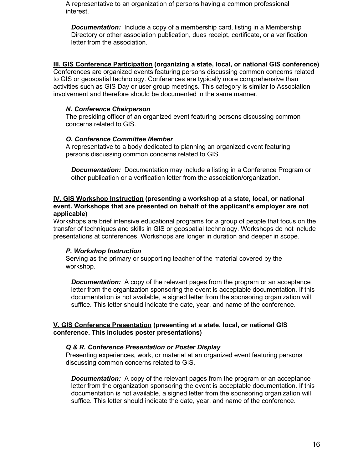A representative to an organization of persons having a common professional interest.

*Documentation:* Include a copy of a membership card, listing in a Membership Directory or other association publication, dues receipt, certificate, or a verification letter from the association.

#### **III. GIS Conference Participation (organizing a state, local, or national GIS conference)**

Conferences are organized events featuring persons discussing common concerns related to GIS or geospatial technology. Conferences are typically more comprehensive than activities such as GIS Day or user group meetings. This category is similar to Association involvement and therefore should be documented in the same manner.

#### *N. Conference Chairperson*

The presiding officer of an organized event featuring persons discussing common concerns related to GIS.

#### *O. Conference Committee Member*

A representative to a body dedicated to planning an organized event featuring persons discussing common concerns related to GIS.

*Documentation:* Documentation may include a listing in a Conference Program or other publication or a verification letter from the association/organization.

#### **IV. GIS Workshop Instruction (presenting a workshop at a state, local, or national event. Workshops that are presented on behalf of the applicant's employer are not applicable)**

Workshops are brief intensive educational programs for a group of people that focus on the transfer of techniques and skills in GIS or geospatial technology. Workshops do not include presentations at conferences. Workshops are longer in duration and deeper in scope.

#### *P. Workshop Instruction*

Serving as the primary or supporting teacher of the material covered by the workshop.

*Documentation:* A copy of the relevant pages from the program or an acceptance letter from the organization sponsoring the event is acceptable documentation. If this documentation is not available, a signed letter from the sponsoring organization will suffice. This letter should indicate the date, year, and name of the conference.

#### **V. GIS Conference Presentation (presenting at a state, local, or national GIS conference. This includes poster presentations)**

#### *Q & R. Conference Presentation or Poster Display*

Presenting experiences, work, or material at an organized event featuring persons discussing common concerns related to GIS.

*Documentation:* A copy of the relevant pages from the program or an acceptance letter from the organization sponsoring the event is acceptable documentation. If this documentation is not available, a signed letter from the sponsoring organization will suffice. This letter should indicate the date, year, and name of the conference.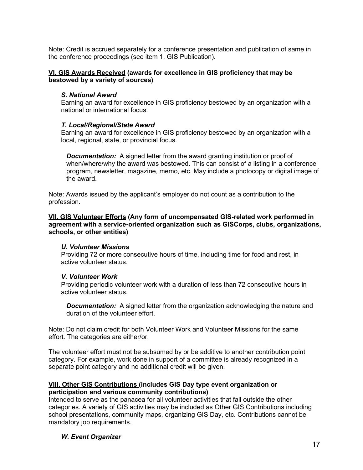Note: Credit is accrued separately for a conference presentation and publication of same in the conference proceedings (see item 1. GIS Publication).

#### **VI. GIS Awards Received (awards for excellence in GIS proficiency that may be bestowed by a variety of sources)**

#### *S. National Award*

Earning an award for excellence in GIS proficiency bestowed by an organization with a national or international focus.

#### *T. Local/Regional/State Award*

Earning an award for excellence in GIS proficiency bestowed by an organization with a local, regional, state, or provincial focus.

*Documentation:* A signed letter from the award granting institution or proof of when/where/why the award was bestowed. This can consist of a listing in a conference program, newsletter, magazine, memo, etc. May include a photocopy or digital image of the award.

Note: Awards issued by the applicant's employer do not count as a contribution to the profession.

**VII. GIS Volunteer Efforts (Any form of uncompensated GIS-related work performed in agreement with a service-oriented organization such as GISCorps, clubs, organizations, schools, or other entities)**

#### *U. Volunteer Missions*

Providing 72 or more consecutive hours of time, including time for food and rest, in active volunteer status.

#### *V. Volunteer Work*

Providing periodic volunteer work with a duration of less than 72 consecutive hours in active volunteer status.

*Documentation:* A signed letter from the organization acknowledging the nature and duration of the volunteer effort.

Note: Do not claim credit for both Volunteer Work and Volunteer Missions for the same effort. The categories are either/or.

The volunteer effort must not be subsumed by or be additive to another contribution point category. For example, work done in support of a committee is already recognized in a separate point category and no additional credit will be given.

#### **VIII. Other GIS Contributions (includes GIS Day type event organization or participation and various community contributions)**

Intended to serve as the panacea for all volunteer activities that fall outside the other categories. A variety of GIS activities may be included as Other GIS Contributions including school presentations, community maps, organizing GIS Day, etc. Contributions cannot be mandatory job requirements.

# *W. Event Organizer*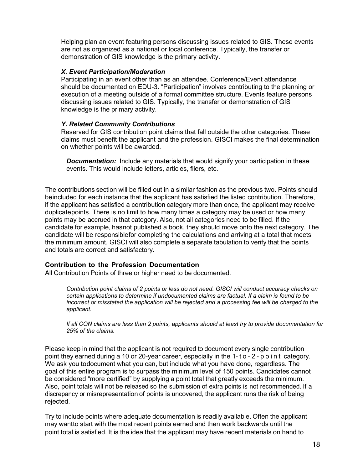Helping plan an event featuring persons discussing issues related to GIS. These events are not as organized as a national or local conference. Typically, the transfer or demonstration of GIS knowledge is the primary activity.

#### *X. Event Participation/Moderation*

Participating in an event other than as an attendee. Conference/Event attendance should be documented on EDU-3. "Participation" involves contributing to the planning or execution of a meeting outside of a formal committee structure. Events feature persons discussing issues related to GIS. Typically, the transfer or demonstration of GIS knowledge is the primary activity.

#### *Y. Related Community Contributions*

Reserved for GIS contribution point claims that fall outside the other categories. These claims must benefit the applicant and the profession. GISCI makes the final determination on whether points will be awarded.

*Documentation:* Include any materials that would signify your participation in these events. This would include letters, articles, fliers, etc.

The contributions section will be filled out in a similar fashion as the previous two. Points should beincluded for each instance that the applicant has satisfied the listed contribution. Therefore, if the applicant has satisfied a contribution category more than once, the applicant may receive duplicatepoints. There is no limit to how many times a category may be used or how many points may be accrued in that category. Also, not all categories need to be filled. If the candidate for example, hasnot published a book, they should move onto the next category. The candidate will be responsiblefor completing the calculations and arriving at a total that meets the minimum amount. GISCI will also complete a separate tabulation to verify that the points and totals are correct and satisfactory.

#### **Contribution to the Profession Documentation**

All Contribution Points of three or higher need to be documented.

*Contribution point claims of 2 points or less do not need. GISCI will conduct accuracy checks on certain applications to determine if undocumented claims are factual. If a claim is found to be incorrect or misstated the application will be rejected and a processing fee will be charged to the applicant.*

*If all CON claims are less than 2 points, applicants should at least try to provide documentation for 25% of the claims.*

Please keep in mind that the applicant is not required to document every single contribution point they earned during a 10 or 20-year career, especially in the 1- t o - 2 - point category. We ask you todocument what you can, but include what you have done, regardless. The goal of this entire program is to surpass the minimum level of 150 points. Candidates cannot be considered "more certified" by supplying a point total that greatly exceeds the minimum. Also, point totals will not be released so the submission of extra points is not recommended. If a discrepancy or misrepresentation of points is uncovered, the applicant runs the risk of being rejected.

Try to include points where adequate documentation is readily available. Often the applicant may wantto start with the most recent points earned and then work backwards until the point total is satisfied. It is the idea that the applicant may have recent materials on hand to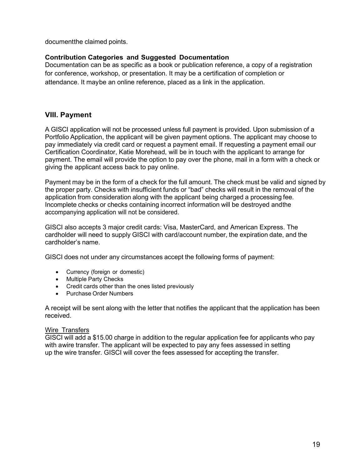documentthe claimed points.

# **Contribution Categories and Suggested Documentation**

Documentation can be as specific as a book or publication reference, a copy of a registration for conference, workshop, or presentation. It may be a certification of completion or attendance. It maybe an online reference, placed as a link in the application.

# <span id="page-19-0"></span>**VIII. Payment**

A GISCI application will not be processed unless full payment is provided. Upon submission of a Portfolio Application, the applicant will be given payment options. The applicant may choose to pay immediately via credit card or request a payment email. If requesting a payment email our Certification Coordinator, Katie Morehead, will be in touch with the applicant to arrange for payment. The email will provide the option to pay over the phone, mail in a form with a check or giving the applicant access back to pay online.

Payment may be in the form of a check for the full amount. The check must be valid and signed by the proper party. Checks with insufficient funds or "bad" checks will result in the removal of the application from consideration along with the applicant being charged a processing fee. Incomplete checks or checks containing incorrect information will be destroyed andthe accompanying application will not be considered.

GISCI also accepts 3 major credit cards: Visa, MasterCard, and American Express. The cardholder will need to supply GISCI with card/account number, the expiration date, and the cardholder's name.

GISCI does not under any circumstances accept the following forms of payment:

- Currency (foreign or domestic)
- Multiple Party Checks
- Credit cards other than the ones listed previously
- Purchase Order Numbers

A receipt will be sent along with the letter that notifies the applicant that the application has been received.

#### Wire Transfers

GISCI will add a \$15.00 charge in addition to the regular application fee for applicants who pay with awire transfer. The applicant will be expected to pay any fees assessed in setting up the wire transfer. GISCI will cover the fees assessed for accepting the transfer.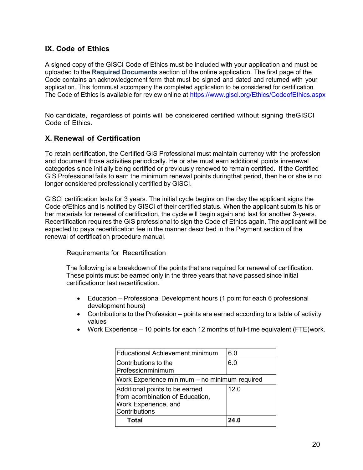# **IX. Code of Ethics**

A signed copy of the GISCI Code of Ethics must be included with your application and must be uploaded to the **Required Documents** section of the online application. The first page of the Code contains an acknowledgement form that must be signed and dated and returned with your application. This formmust accompany the completed application to be considered for certification. The Code of Ethics is available for review online at <https://www.gisci.org/Ethics/CodeofEthics.aspx>

No candidate, regardless of points will be considered certified without signing theGISCI Code of Ethics.

# **X. Renewal of Certification**

To retain certification, the Certified GIS Professional must maintain currency with the profession and document those activities periodically. He or she must earn additional points inrenewal categories since initially being certified or previously renewed to remain certified. If the Certified GIS Professional fails to earn the minimum renewal points duringthat period, then he or she is no longer considered professionally certified by GISCI.

GISCI certification lasts for 3 years. The initial cycle begins on the day the applicant signs the Code ofEthics and is notified by GISCI of their certified status. When the applicant submits his or her materials for renewal of certification, the cycle will begin again and last for another 3-years. Recertification requires the GIS professional to sign the Code of Ethics again. The applicant will be expected to paya recertification fee in the manner described in the Payment section of the renewal of certification procedure manual.

Requirements for Recertification

The following is a breakdown of the points that are required for renewal of certification. These points must be earned only in the three years that have passed since initial certificationor last recertification.

- Education Professional Development hours (1 point for each 6 professional development hours)
- Contributions to the Profession points are earned according to a table of activity values
- Work Experience 10 points for each 12 months of full-time equivalent (FTE)work.

| Educational Achievement minimum                                                                            | 6.0  |  |  |
|------------------------------------------------------------------------------------------------------------|------|--|--|
| Contributions to the<br>Professionminimum                                                                  | 6.0  |  |  |
| Work Experience minimum - no minimum required                                                              |      |  |  |
| Additional points to be earned<br>from acombination of Education,<br>Work Experience, and<br>Contributions | 12.0 |  |  |
| <b>Total</b>                                                                                               | 24.0 |  |  |